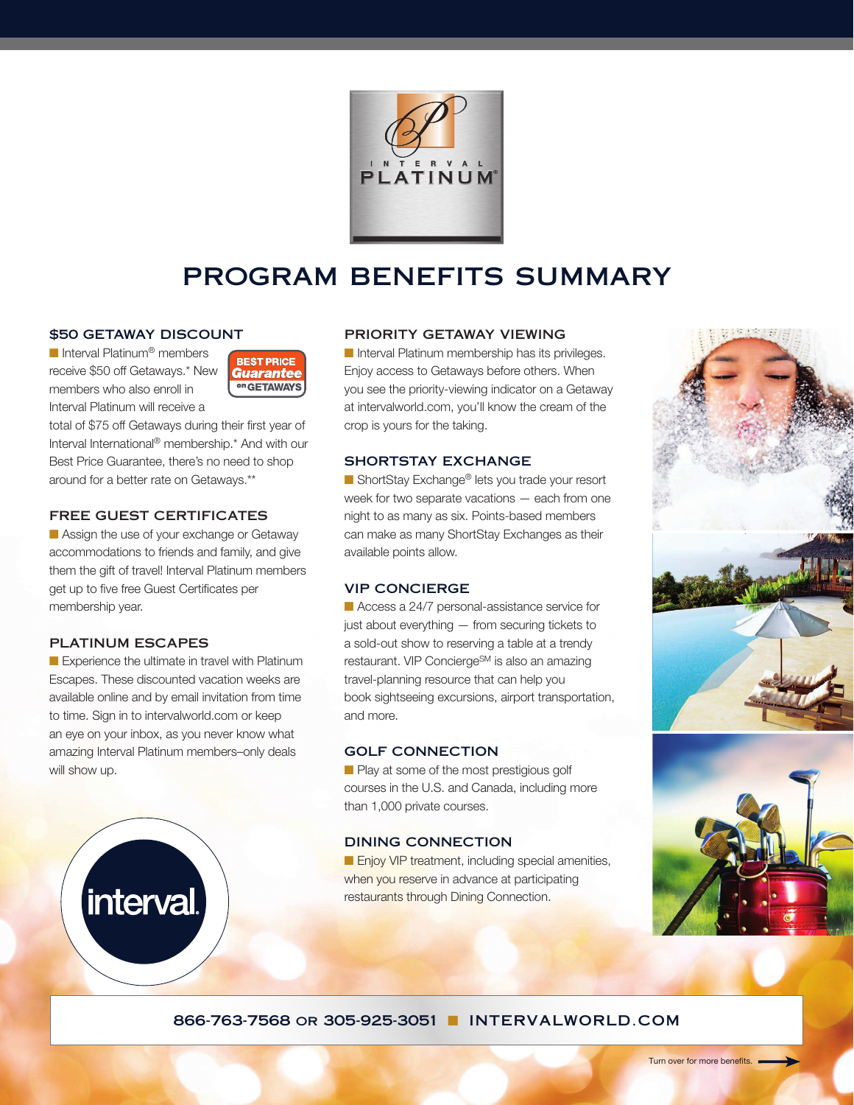

# program benefits summary

#### \$50 GETAWAY DISCOUNT

■ Interval Platinum<sup>®</sup> members receive \$50 off Getaways.\* New members who also enroll in Interval Platinum will receive a



total of \$75 off Getaways during their first year of Interval International® membership.\* And with our Best Price Guarantee, there's no need to shop around for a better rate on Getaways.\*\*

# FREE GUEST CERTIFICATES

**n** Assign the use of your exchange or Getaway accommodations to friends and family, and give them the gift of travel! Interval Platinum members get up to five free Guest Certificates per membership year.

## PLATINUM ESCAPES

interval

Experience the ultimate in travel with Platinum Escapes. These discounted vacation weeks are available online and by email invitation from time to time. Sign in to intervalworld.com or keep an eye on your inbox, as you never know what amazing Interval Platinum members–only deals will show up.

#### PRIORITY GETAWAY VIEWING

n Interval Platinum membership has its privileges. Enjoy access to Getaways before others. When you see the priority-viewing indicator on a Getaway at intervalworld.com, you'll know the cream of the crop is yours for the taking.

## SHORTSTAY EXCHANGE

■ ShortStay Exchange<sup>®</sup> lets you trade your resort week for two separate vacations — each from one night to as many as six. Points-based members can make as many ShortStay Exchanges as their available points allow.

## VIP CONCIERGE

■ Access a 24/7 personal-assistance service for just about everything — from securing tickets to a sold-out show to reserving a table at a trendy restaurant. VIP Concierge<sup>SM</sup> is also an amazing travel-planning resource that can help you book sightseeing excursions, airport transportation, and more.

#### GOLF CONNECTION

**n** Play at some of the most prestigious golf courses in the U.S. and Canada, including more than 1,000 private courses.

#### DINING CONNECTION

**n** Enjoy VIP treatment, including special amenities, when you reserve in advance at participating restaurants through Dining Connection.





## 866-763-7568 or 305-925-3051 NITERVALWORLD.COM